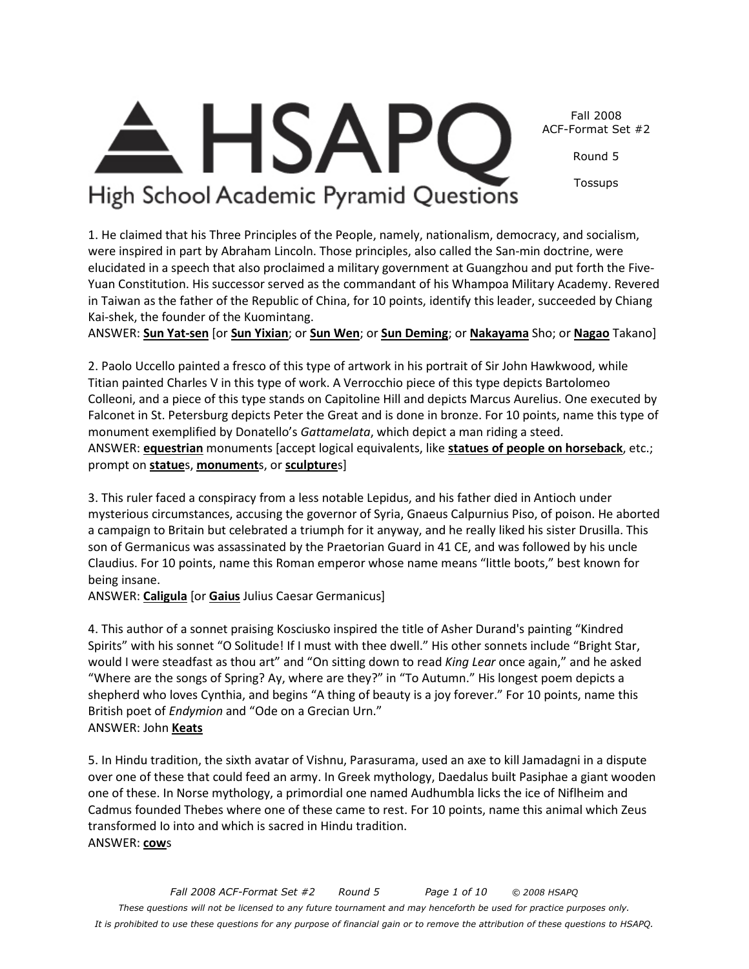

Round 5

Tossups

# High School Academic Pyramid Questions

**HSAP** 

1. He claimed that his Three Principles of the People, namely, nationalism, democracy, and socialism, were inspired in part by Abraham Lincoln. Those principles, also called the San-min doctrine, were elucidated in a speech that also proclaimed a military government at Guangzhou and put forth the Five-Yuan Constitution. His successor served as the commandant of his Whampoa Military Academy. Revered in Taiwan as the father of the Republic of China, for 10 points, identify this leader, succeeded by Chiang Kai-shek, the founder of the Kuomintang.

ANSWER: **Sun Yat-sen** [or **Sun Yixian**; or **Sun Wen**; or **Sun Deming**; or **Nakayama** Sho; or **Nagao** Takano]

2. Paolo Uccello painted a fresco of this type of artwork in his portrait of Sir John Hawkwood, while Titian painted Charles V in this type of work. A Verrocchio piece of this type depicts Bartolomeo Colleoni, and a piece of this type stands on Capitoline Hill and depicts Marcus Aurelius. One executed by Falconet in St. Petersburg depicts Peter the Great and is done in bronze. For 10 points, name this type of monument exemplified by Donatello's *Gattamelata*, which depict a man riding a steed. ANSWER: **equestrian** monuments [accept logical equivalents, like **statues of people on horseback**, etc.; prompt on **statue**s, **monument**s, or **sculpture**s]

3. This ruler faced a conspiracy from a less notable Lepidus, and his father died in Antioch under mysterious circumstances, accusing the governor of Syria, Gnaeus Calpurnius Piso, of poison. He aborted a campaign to Britain but celebrated a triumph for it anyway, and he really liked his sister Drusilla. This son of Germanicus was assassinated by the Praetorian Guard in 41 CE, and was followed by his uncle Claudius. For 10 points, name this Roman emperor whose name means "little boots," best known for being insane.

ANSWER: **Caligula** [or **Gaius** Julius Caesar Germanicus]

4. This author of a sonnet praising Kosciusko inspired the title of Asher Durand's painting "Kindred Spirits" with his sonnet "O Solitude! If I must with thee dwell." His other sonnets include "Bright Star, would I were steadfast as thou art" and "On sitting down to read *King Lear* once again," and he asked "Where are the songs of Spring? Ay, where are they?" in "To Autumn." His longest poem depicts a shepherd who loves Cynthia, and begins "A thing of beauty is a joy forever." For 10 points, name this British poet of *Endymion* and "Ode on a Grecian Urn." ANSWER: John **Keats**

5. In Hindu tradition, the sixth avatar of Vishnu, Parasurama, used an axe to kill Jamadagni in a dispute over one of these that could feed an army. In Greek mythology, Daedalus built Pasiphae a giant wooden one of these. In Norse mythology, a primordial one named Audhumbla licks the ice of Niflheim and Cadmus founded Thebes where one of these came to rest. For 10 points, name this animal which Zeus transformed Io into and which is sacred in Hindu tradition. ANSWER: **cow**s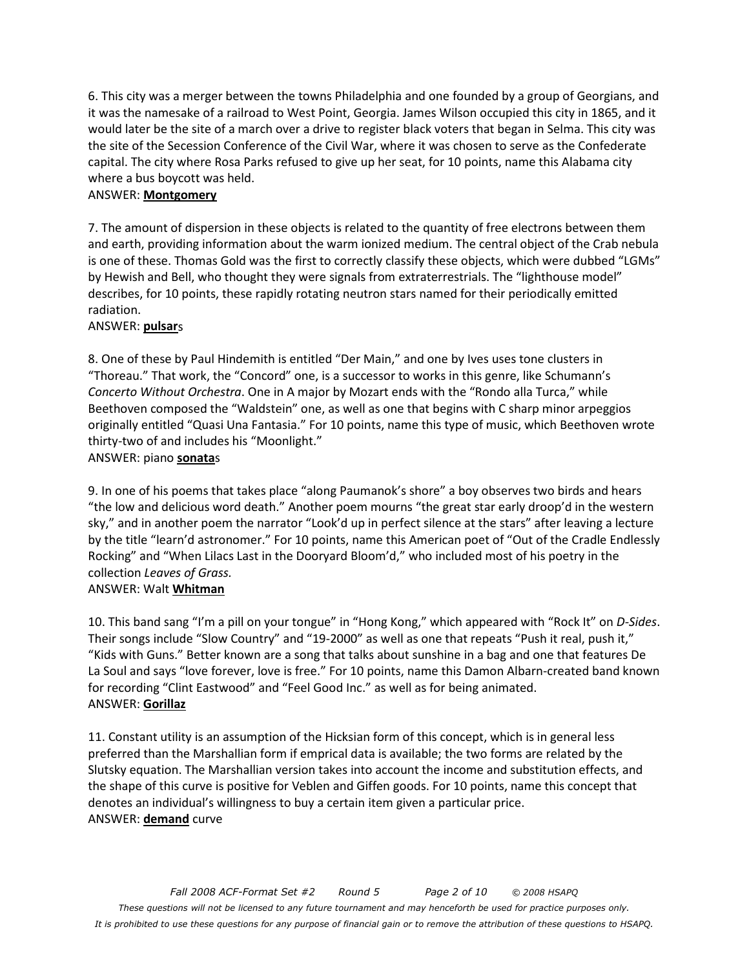6. This city was a merger between the towns Philadelphia and one founded by a group of Georgians, and it was the namesake of a railroad to West Point, Georgia. James Wilson occupied this city in 1865, and it would later be the site of a march over a drive to register black voters that began in Selma. This city was the site of the Secession Conference of the Civil War, where it was chosen to serve as the Confederate capital. The city where Rosa Parks refused to give up her seat, for 10 points, name this Alabama city where a bus boycott was held.

#### ANSWER: **Montgomery**

7. The amount of dispersion in these objects is related to the quantity of free electrons between them and earth, providing information about the warm ionized medium. The central object of the Crab nebula is one of these. Thomas Gold was the first to correctly classify these objects, which were dubbed "LGMs" by Hewish and Bell, who thought they were signals from extraterrestrials. The "lighthouse model" describes, for 10 points, these rapidly rotating neutron stars named for their periodically emitted radiation.

#### ANSWER: **pulsar**s

8. One of these by Paul Hindemith is entitled "Der Main," and one by Ives uses tone clusters in "Thoreau." That work, the "Concord" one, is a successor to works in this genre, like Schumann's *Concerto Without Orchestra*. One in A major by Mozart ends with the "Rondo alla Turca," while Beethoven composed the "Waldstein" one, as well as one that begins with C sharp minor arpeggios originally entitled "Quasi Una Fantasia." For 10 points, name this type of music, which Beethoven wrote thirty-two of and includes his "Moonlight."

## ANSWER: piano **sonata**s

9. In one of his poems that takes place "along Paumanok's shore" a boy observes two birds and hears "the low and delicious word death." Another poem mourns "the great star early droop'd in the western sky," and in another poem the narrator "Look'd up in perfect silence at the stars" after leaving a lecture by the title "learn'd astronomer." For 10 points, name this American poet of "Out of the Cradle Endlessly Rocking" and "When Lilacs Last in the Dooryard Bloom'd," who included most of his poetry in the collection *Leaves of Grass.* 

#### ANSWER: Walt **Whitman**

10. This band sang "I'm a pill on your tongue" in "Hong Kong," which appeared with "Rock It" on *D-Sides*. Their songs include "Slow Country" and "19-2000" as well as one that repeats "Push it real, push it," "Kids with Guns." Better known are a song that talks about sunshine in a bag and one that features De La Soul and says "love forever, love is free." For 10 points, name this Damon Albarn-created band known for recording "Clint Eastwood" and "Feel Good Inc." as well as for being animated. ANSWER: **Gorillaz**

11. Constant utility is an assumption of the Hicksian form of this concept, which is in general less preferred than the Marshallian form if emprical data is available; the two forms are related by the Slutsky equation. The Marshallian version takes into account the income and substitution effects, and the shape of this curve is positive for Veblen and Giffen goods. For 10 points, name this concept that denotes an individual's willingness to buy a certain item given a particular price. ANSWER: **demand** curve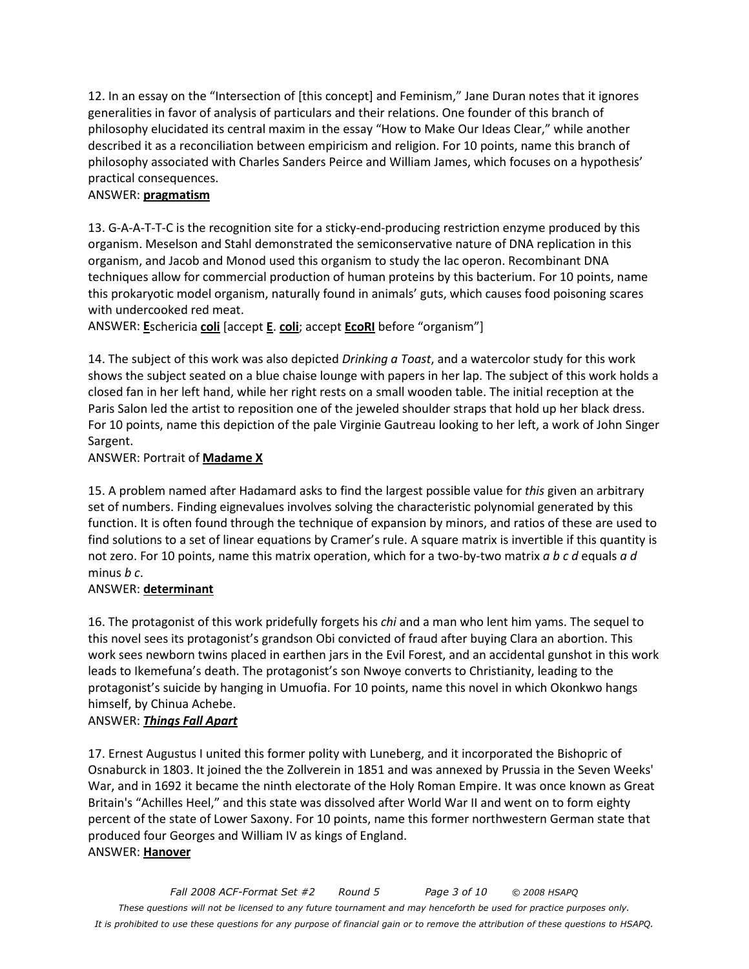12. In an essay on the "Intersection of [this concept] and Feminism," Jane Duran notes that it ignores generalities in favor of analysis of particulars and their relations. One founder of this branch of philosophy elucidated its central maxim in the essay "How to Make Our Ideas Clear," while another described it as a reconciliation between empiricism and religion. For 10 points, name this branch of philosophy associated with Charles Sanders Peirce and William James, which focuses on a hypothesis' practical consequences.

## ANSWER: **pragmatism**

13. G-A-A-T-T-C is the recognition site for a sticky-end-producing restriction enzyme produced by this organism. Meselson and Stahl demonstrated the semiconservative nature of DNA replication in this organism, and Jacob and Monod used this organism to study the lac operon. Recombinant DNA techniques allow for commercial production of human proteins by this bacterium. For 10 points, name this prokaryotic model organism, naturally found in animals' guts, which causes food poisoning scares with undercooked red meat.

ANSWER: **E**schericia **coli** [accept **E**. **coli**; accept **EcoRI** before "organism"]

14. The subject of this work was also depicted *Drinking a Toast*, and a watercolor study for this work shows the subject seated on a blue chaise lounge with papers in her lap. The subject of this work holds a closed fan in her left hand, while her right rests on a small wooden table. The initial reception at the Paris Salon led the artist to reposition one of the jeweled shoulder straps that hold up her black dress. For 10 points, name this depiction of the pale Virginie Gautreau looking to her left, a work of John Singer Sargent.

ANSWER: Portrait of **Madame X**

15. A problem named after Hadamard asks to find the largest possible value for *this* given an arbitrary set of numbers. Finding eignevalues involves solving the characteristic polynomial generated by this function. It is often found through the technique of expansion by minors, and ratios of these are used to find solutions to a set of linear equations by Cramer's rule. A square matrix is invertible if this quantity is not zero. For 10 points, name this matrix operation, which for a two-by-two matrix *a b c d* equals *a d* minus *b c*.

#### ANSWER: **determinant**

16. The protagonist of this work pridefully forgets his *chi* and a man who lent him yams. The sequel to this novel sees its protagonist's grandson Obi convicted of fraud after buying Clara an abortion. This work sees newborn twins placed in earthen jars in the Evil Forest, and an accidental gunshot in this work leads to Ikemefuna's death. The protagonist's son Nwoye converts to Christianity, leading to the protagonist's suicide by hanging in Umuofia. For 10 points, name this novel in which Okonkwo hangs himself, by Chinua Achebe.

#### ANSWER: *Things Fall Apart*

17. Ernest Augustus I united this former polity with Luneberg, and it incorporated the Bishopric of Osnaburck in 1803. It joined the the Zollverein in 1851 and was annexed by Prussia in the Seven Weeks' War, and in 1692 it became the ninth electorate of the Holy Roman Empire. It was once known as Great Britain's "Achilles Heel," and this state was dissolved after World War II and went on to form eighty percent of the state of Lower Saxony. For 10 points, name this former northwestern German state that produced four Georges and William IV as kings of England. ANSWER: **Hanover**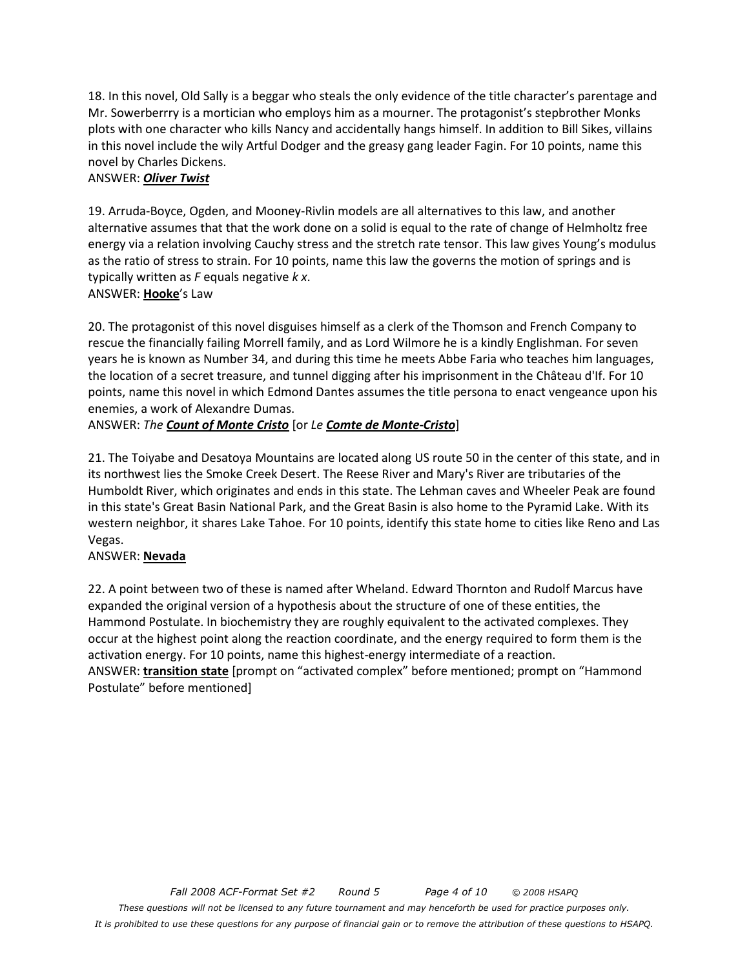18. In this novel, Old Sally is a beggar who steals the only evidence of the title character's parentage and Mr. Sowerberrry is a mortician who employs him as a mourner. The protagonist's stepbrother Monks plots with one character who kills Nancy and accidentally hangs himself. In addition to Bill Sikes, villains in this novel include the wily Artful Dodger and the greasy gang leader Fagin. For 10 points, name this novel by Charles Dickens.

#### ANSWER: *Oliver Twist*

19. Arruda-Boyce, Ogden, and Mooney-Rivlin models are all alternatives to this law, and another alternative assumes that that the work done on a solid is equal to the rate of change of Helmholtz free energy via a relation involving Cauchy stress and the stretch rate tensor. This law gives Young's modulus as the ratio of stress to strain. For 10 points, name this law the governs the motion of springs and is typically written as *F* equals negative *k x*. ANSWER: **Hooke**'s Law

20. The protagonist of this novel disguises himself as a clerk of the Thomson and French Company to rescue the financially failing Morrell family, and as Lord Wilmore he is a kindly Englishman. For seven years he is known as Number 34, and during this time he meets Abbe Faria who teaches him languages, the location of a secret treasure, and tunnel digging after his imprisonment in the Château d'If. For 10 points, name this novel in which Edmond Dantes assumes the title persona to enact vengeance upon his enemies, a work of Alexandre Dumas.

#### ANSWER: *The Count of Monte Cristo* [or *Le Comte de Monte-Cristo*]

21. The Toiyabe and Desatoya Mountains are located along US route 50 in the center of this state, and in its northwest lies the Smoke Creek Desert. The Reese River and Mary's River are tributaries of the Humboldt River, which originates and ends in this state. The Lehman caves and Wheeler Peak are found in this state's Great Basin National Park, and the Great Basin is also home to the Pyramid Lake. With its western neighbor, it shares Lake Tahoe. For 10 points, identify this state home to cities like Reno and Las Vegas.

#### ANSWER: **Nevada**

22. A point between two of these is named after Wheland. Edward Thornton and Rudolf Marcus have expanded the original version of a hypothesis about the structure of one of these entities, the Hammond Postulate. In biochemistry they are roughly equivalent to the activated complexes. They occur at the highest point along the reaction coordinate, and the energy required to form them is the activation energy. For 10 points, name this highest-energy intermediate of a reaction. ANSWER: **transition state** [prompt on "activated complex" before mentioned; prompt on "Hammond Postulate" before mentioned]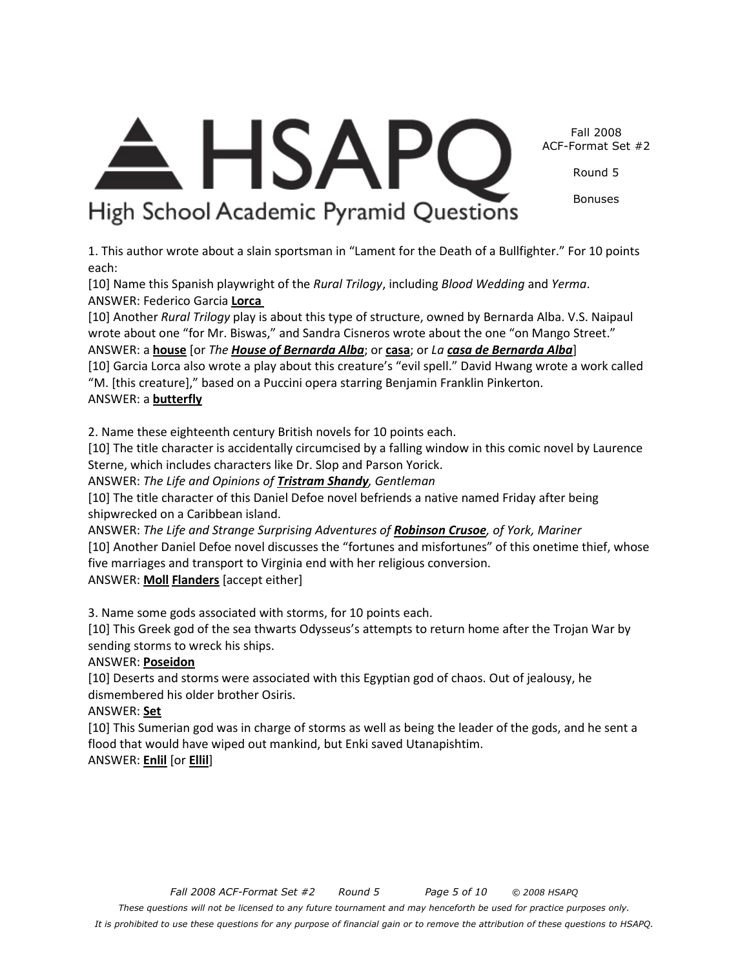Fall 2008 ACF-Format Set #2

Round 5

Bonuses

**HSAPC** High School Academic Pyramid Questions

1. This author wrote about a slain sportsman in "Lament for the Death of a Bullfighter." For 10 points each:

[10] Name this Spanish playwright of the *Rural Trilogy*, including *Blood Wedding* and *Yerma*. ANSWER: Federico Garcia **Lorca** 

[10] Another *Rural Trilogy* play is about this type of structure, owned by Bernarda Alba. V.S. Naipaul wrote about one "for Mr. Biswas," and Sandra Cisneros wrote about the one "on Mango Street."

ANSWER: a **house** [or *The House of Bernarda Alba*; or **casa**; or *La casa de Bernarda Alba*]

[10] Garcia Lorca also wrote a play about this creature's "evil spell." David Hwang wrote a work called "M. [this creature]," based on a Puccini opera starring Benjamin Franklin Pinkerton. ANSWER: a **butterfly**

2. Name these eighteenth century British novels for 10 points each.

[10] The title character is accidentally circumcised by a falling window in this comic novel by Laurence Sterne, which includes characters like Dr. Slop and Parson Yorick.

ANSWER: *The Life and Opinions of Tristram Shandy, Gentleman* 

[10] The title character of this Daniel Defoe novel befriends a native named Friday after being shipwrecked on a Caribbean island.

ANSWER: *The Life and Strange Surprising Adventures of Robinson Crusoe, of York, Mariner*  [10] Another Daniel Defoe novel discusses the "fortunes and misfortunes" of this onetime thief, whose

five marriages and transport to Virginia end with her religious conversion.

ANSWER: **Moll Flanders** [accept either]

3. Name some gods associated with storms, for 10 points each.

[10] This Greek god of the sea thwarts Odysseus's attempts to return home after the Trojan War by sending storms to wreck his ships.

## ANSWER: **Poseidon**

[10] Deserts and storms were associated with this Egyptian god of chaos. Out of jealousy, he dismembered his older brother Osiris.

ANSWER: **Set**

[10] This Sumerian god was in charge of storms as well as being the leader of the gods, and he sent a flood that would have wiped out mankind, but Enki saved Utanapishtim. ANSWER: **Enlil** [or **Ellil**]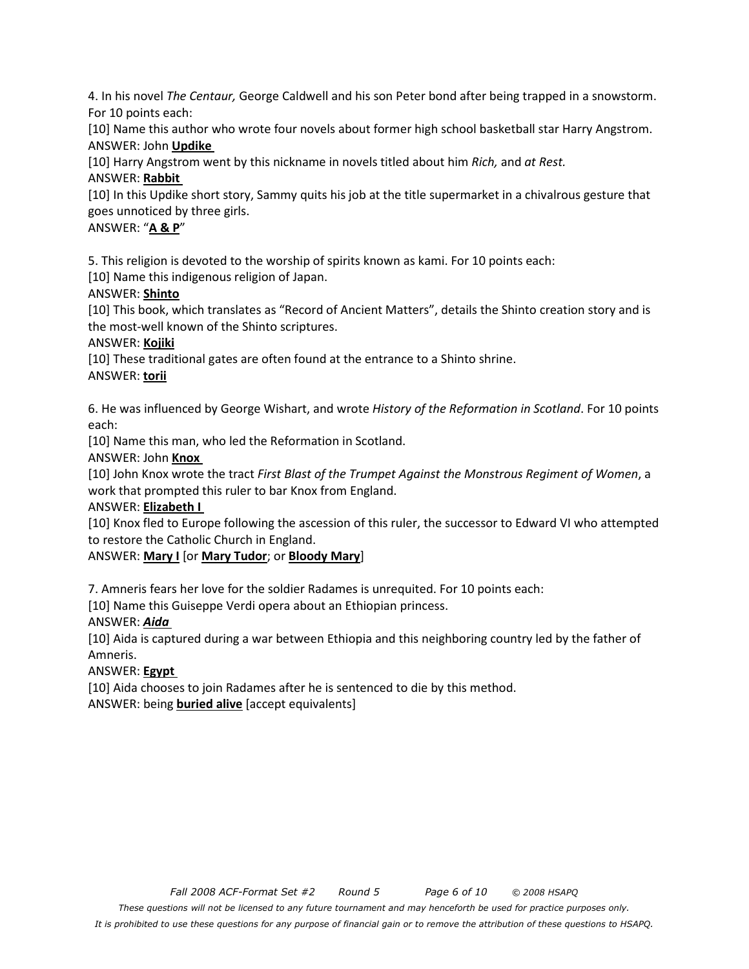4. In his novel *The Centaur,* George Caldwell and his son Peter bond after being trapped in a snowstorm. For 10 points each:

[10] Name this author who wrote four novels about former high school basketball star Harry Angstrom. ANSWER: John **Updike** 

[10] Harry Angstrom went by this nickname in novels titled about him *Rich,* and *at Rest.* 

#### ANSWER: **Rabbit**

[10] In this Updike short story, Sammy quits his job at the title supermarket in a chivalrous gesture that goes unnoticed by three girls.

## ANSWER: "**A & P**"

5. This religion is devoted to the worship of spirits known as kami. For 10 points each:

[10] Name this indigenous religion of Japan.

#### ANSWER: **Shinto**

[10] This book, which translates as "Record of Ancient Matters", details the Shinto creation story and is the most-well known of the Shinto scriptures.

#### ANSWER: **Kojiki**

[10] These traditional gates are often found at the entrance to a Shinto shrine.

#### ANSWER: **torii**

6. He was influenced by George Wishart, and wrote *History of the Reformation in Scotland*. For 10 points each:

[10] Name this man, who led the Reformation in Scotland.

## ANSWER: John **Knox**

[10] John Knox wrote the tract *First Blast of the Trumpet Against the Monstrous Regiment of Women*, a work that prompted this ruler to bar Knox from England.

#### ANSWER: **Elizabeth I**

[10] Knox fled to Europe following the ascession of this ruler, the successor to Edward VI who attempted to restore the Catholic Church in England.

ANSWER: **Mary I** [or **Mary Tudor**; or **Bloody Mary**]

7. Amneris fears her love for the soldier Radames is unrequited. For 10 points each:

[10] Name this Guiseppe Verdi opera about an Ethiopian princess.

## ANSWER: *Aida*

[10] Aida is captured during a war between Ethiopia and this neighboring country led by the father of Amneris.

#### ANSWER: **Egypt**

[10] Aida chooses to join Radames after he is sentenced to die by this method. ANSWER: being **buried alive** [accept equivalents]

*It is prohibited to use these questions for any purpose of financial gain or to remove the attribution of these questions to HSAPQ.*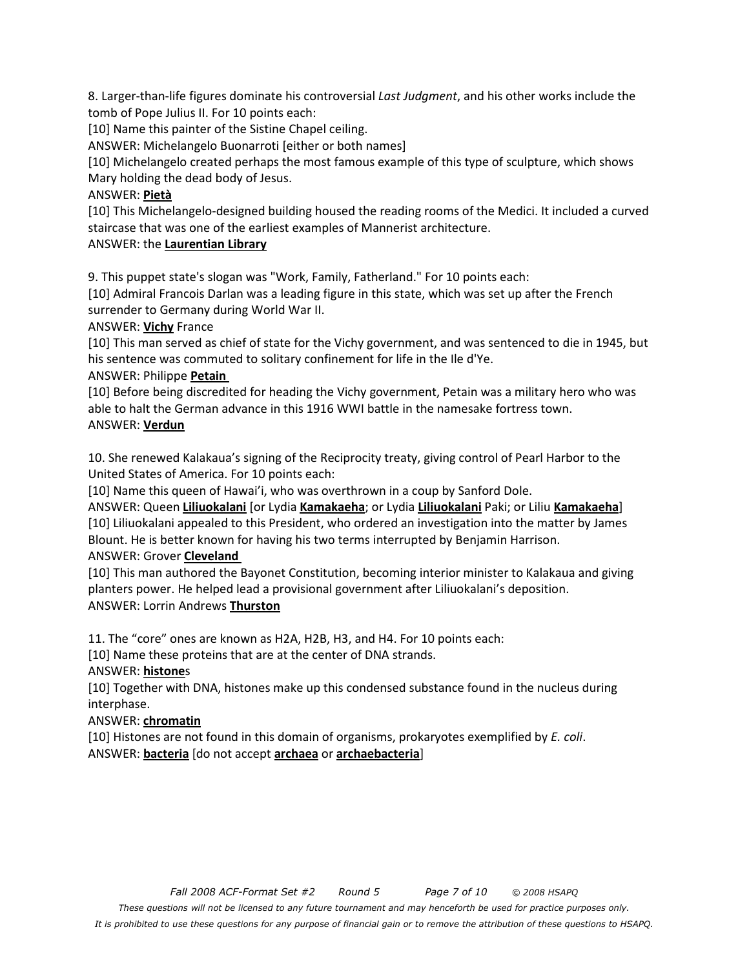8. Larger-than-life figures dominate his controversial *Last Judgment*, and his other works include the tomb of Pope Julius II. For 10 points each:

[10] Name this painter of the Sistine Chapel ceiling.

ANSWER: Michelangelo Buonarroti [either or both names]

[10] Michelangelo created perhaps the most famous example of this type of sculpture, which shows Mary holding the dead body of Jesus.

#### ANSWER: **Pietà**

[10] This Michelangelo-designed building housed the reading rooms of the Medici. It included a curved staircase that was one of the earliest examples of Mannerist architecture.

ANSWER: the **Laurentian Library**

9. This puppet state's slogan was "Work, Family, Fatherland." For 10 points each:

[10] Admiral Francois Darlan was a leading figure in this state, which was set up after the French surrender to Germany during World War II.

ANSWER: **Vichy** France

[10] This man served as chief of state for the Vichy government, and was sentenced to die in 1945, but his sentence was commuted to solitary confinement for life in the Ile d'Ye.

#### ANSWER: Philippe **Petain**

[10] Before being discredited for heading the Vichy government, Petain was a military hero who was able to halt the German advance in this 1916 WWI battle in the namesake fortress town. ANSWER: **Verdun**

10. She renewed Kalakaua's signing of the Reciprocity treaty, giving control of Pearl Harbor to the United States of America. For 10 points each:

[10] Name this queen of Hawai'i, who was overthrown in a coup by Sanford Dole.

ANSWER: Queen **Liliuokalani** [or Lydia **Kamakaeha**; or Lydia **Liliuokalani** Paki; or Liliu **Kamakaeha**] [10] Liliuokalani appealed to this President, who ordered an investigation into the matter by James Blount. He is better known for having his two terms interrupted by Benjamin Harrison. ANSWER: Grover **Cleveland** 

[10] This man authored the Bayonet Constitution, becoming interior minister to Kalakaua and giving planters power. He helped lead a provisional government after Liliuokalani's deposition. ANSWER: Lorrin Andrews **Thurston**

11. The "core" ones are known as H2A, H2B, H3, and H4. For 10 points each:

[10] Name these proteins that are at the center of DNA strands.

ANSWER: **histone**s

[10] Together with DNA, histones make up this condensed substance found in the nucleus during interphase.

## ANSWER: **chromatin**

[10] Histones are not found in this domain of organisms, prokaryotes exemplified by *E. coli*. ANSWER: **bacteria** [do not accept **archaea** or **archaebacteria**]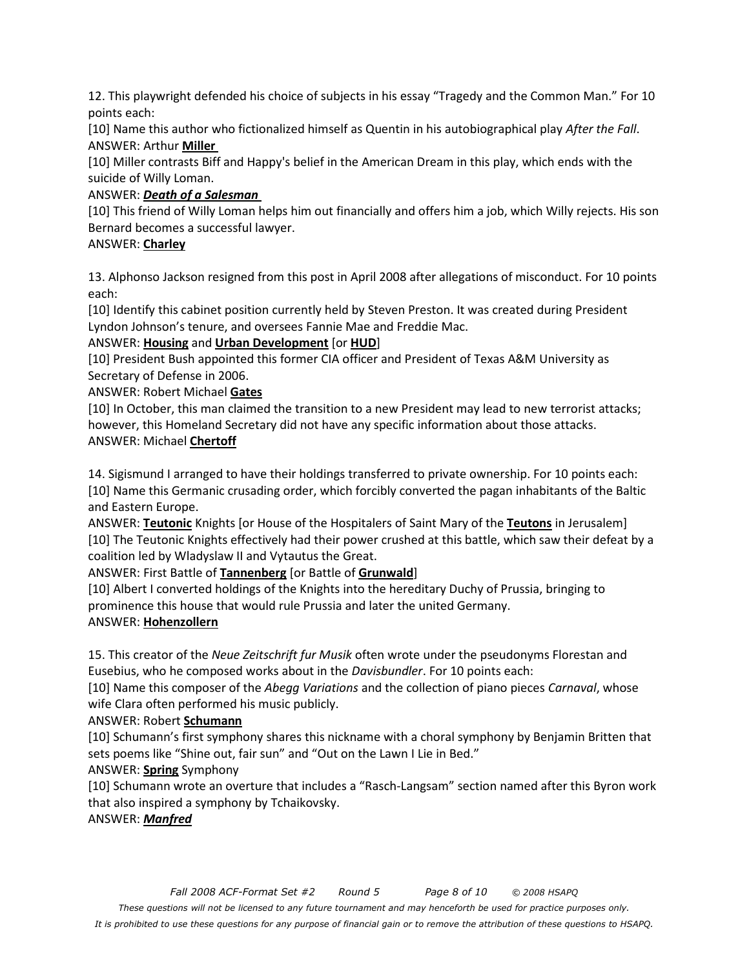12. This playwright defended his choice of subjects in his essay "Tragedy and the Common Man." For 10 points each:

[10] Name this author who fictionalized himself as Quentin in his autobiographical play *After the Fall*. ANSWER: Arthur **Miller** 

[10] Miller contrasts Biff and Happy's belief in the American Dream in this play, which ends with the suicide of Willy Loman.

## ANSWER: *Death of a Salesman*

[10] This friend of Willy Loman helps him out financially and offers him a job, which Willy rejects. His son Bernard becomes a successful lawyer.

#### ANSWER: **Charley**

13. Alphonso Jackson resigned from this post in April 2008 after allegations of misconduct. For 10 points each:

[10] Identify this cabinet position currently held by Steven Preston. It was created during President Lyndon Johnson's tenure, and oversees Fannie Mae and Freddie Mac.

#### ANSWER: **Housing** and **Urban Development** [or **HUD**]

[10] President Bush appointed this former CIA officer and President of Texas A&M University as Secretary of Defense in 2006.

ANSWER: Robert Michael **Gates**

[10] In October, this man claimed the transition to a new President may lead to new terrorist attacks; however, this Homeland Secretary did not have any specific information about those attacks. ANSWER: Michael **Chertoff**

14. Sigismund I arranged to have their holdings transferred to private ownership. For 10 points each: [10] Name this Germanic crusading order, which forcibly converted the pagan inhabitants of the Baltic and Eastern Europe.

ANSWER: **Teutonic** Knights [or House of the Hospitalers of Saint Mary of the **Teutons** in Jerusalem] [10] The Teutonic Knights effectively had their power crushed at this battle, which saw their defeat by a coalition led by Wladyslaw II and Vytautus the Great.

ANSWER: First Battle of **Tannenberg** [or Battle of **Grunwald**]

[10] Albert I converted holdings of the Knights into the hereditary Duchy of Prussia, bringing to prominence this house that would rule Prussia and later the united Germany.

## ANSWER: **Hohenzollern**

15. This creator of the *Neue Zeitschrift fur Musik* often wrote under the pseudonyms Florestan and Eusebius, who he composed works about in the *Davisbundler*. For 10 points each:

[10] Name this composer of the *Abegg Variations* and the collection of piano pieces *Carnaval*, whose wife Clara often performed his music publicly.

## ANSWER: Robert **Schumann**

[10] Schumann's first symphony shares this nickname with a choral symphony by Benjamin Britten that sets poems like "Shine out, fair sun" and "Out on the Lawn I Lie in Bed."

## ANSWER: **Spring** Symphony

[10] Schumann wrote an overture that includes a "Rasch-Langsam" section named after this Byron work that also inspired a symphony by Tchaikovsky.

ANSWER: *Manfred*

*These questions will not be licensed to any future tournament and may henceforth be used for practice purposes only.* 

*It is prohibited to use these questions for any purpose of financial gain or to remove the attribution of these questions to HSAPQ.*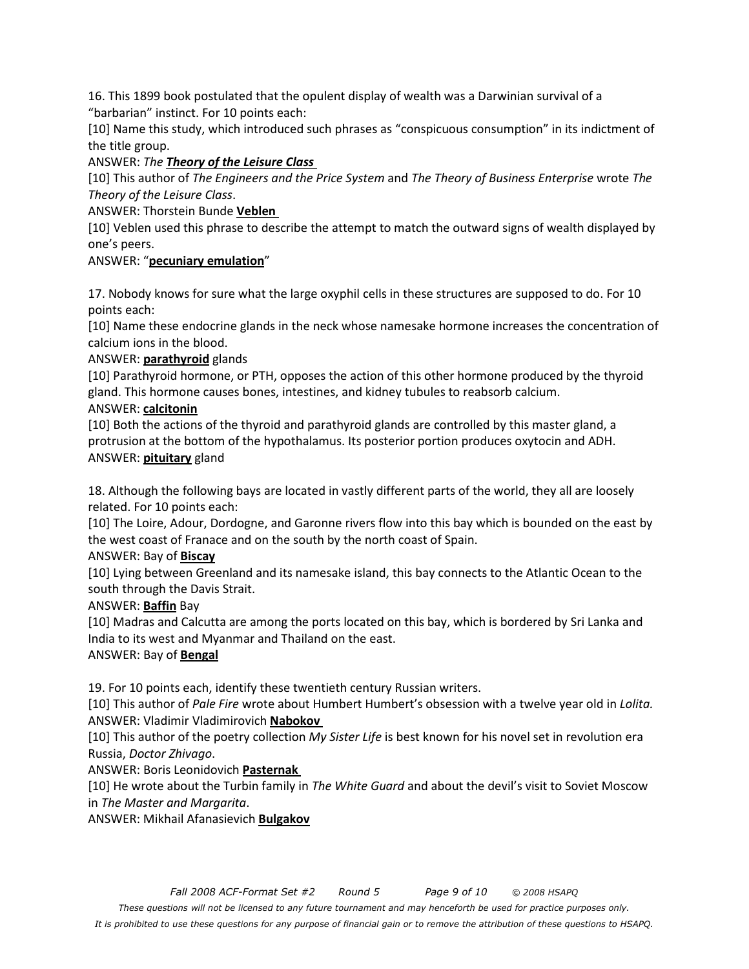16. This 1899 book postulated that the opulent display of wealth was a Darwinian survival of a "barbarian" instinct. For 10 points each:

[10] Name this study, which introduced such phrases as "conspicuous consumption" in its indictment of the title group.

ANSWER: *The Theory of the Leisure Class* 

[10] This author of *The Engineers and the Price System* and *The Theory of Business Enterprise* wrote *The Theory of the Leisure Class*.

ANSWER: Thorstein Bunde **Veblen** 

[10] Veblen used this phrase to describe the attempt to match the outward signs of wealth displayed by one's peers.

#### ANSWER: "**pecuniary emulation**"

17. Nobody knows for sure what the large oxyphil cells in these structures are supposed to do. For 10 points each:

[10] Name these endocrine glands in the neck whose namesake hormone increases the concentration of calcium ions in the blood.

#### ANSWER: **parathyroid** glands

[10] Parathyroid hormone, or PTH, opposes the action of this other hormone produced by the thyroid gland. This hormone causes bones, intestines, and kidney tubules to reabsorb calcium.

#### ANSWER: **calcitonin**

[10] Both the actions of the thyroid and parathyroid glands are controlled by this master gland, a protrusion at the bottom of the hypothalamus. Its posterior portion produces oxytocin and ADH. ANSWER: **pituitary** gland

18. Although the following bays are located in vastly different parts of the world, they all are loosely related. For 10 points each:

[10] The Loire, Adour, Dordogne, and Garonne rivers flow into this bay which is bounded on the east by the west coast of Franace and on the south by the north coast of Spain.

#### ANSWER: Bay of **Biscay**

[10] Lying between Greenland and its namesake island, this bay connects to the Atlantic Ocean to the south through the Davis Strait.

#### ANSWER: **Baffin** Bay

[10] Madras and Calcutta are among the ports located on this bay, which is bordered by Sri Lanka and India to its west and Myanmar and Thailand on the east.

#### ANSWER: Bay of **Bengal**

19. For 10 points each, identify these twentieth century Russian writers.

[10] This author of *Pale Fire* wrote about Humbert Humbert's obsession with a twelve year old in *Lolita.*  ANSWER: Vladimir Vladimirovich **Nabokov** 

[10] This author of the poetry collection *My Sister Life* is best known for his novel set in revolution era Russia, *Doctor Zhivago*.

ANSWER: Boris Leonidovich **Pasternak** 

[10] He wrote about the Turbin family in *The White Guard* and about the devil's visit to Soviet Moscow in *The Master and Margarita*.

ANSWER: Mikhail Afanasievich **Bulgakov**

*These questions will not be licensed to any future tournament and may henceforth be used for practice purposes only.* 

*It is prohibited to use these questions for any purpose of financial gain or to remove the attribution of these questions to HSAPQ.*